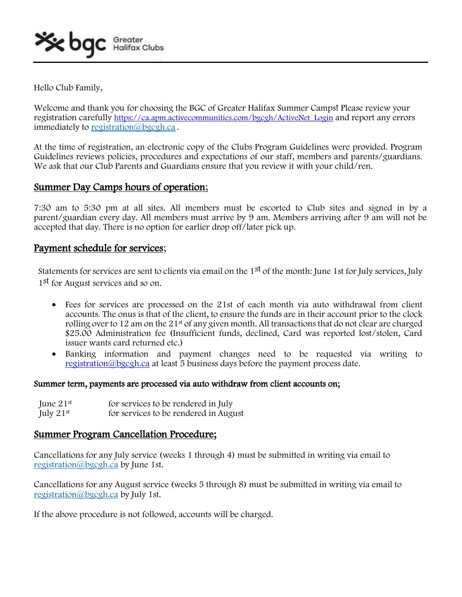Hello Club Family,

Welcome and thank you for choosing the BGC of Greater Halifax Summer Camps! Please review your registration carefully [https://ca.apm.activecommunities.com/bgcgh/ActiveNet\\_Login](https://ca.apm.activecommunities.com/bgcgh/ActiveNet_Login) and report any errors immediately to [registration@bgcgh.ca](mailto:registration@bgcgh.ca) .

At the time of registration, an electronic copy of the Clubs Program Guidelines were provided. Program Guidelines reviews policies, procedures and expectations of our staff, members and parents/guardians. We ask that our Club Parents and Guardians ensure that you review it with your child/ren.

# Summer Day Camps hours of operation;

7:30 am to 5:30 pm at all sites. All members must be escorted to Club sites and signed in by a parent/guardian every day. All members must arrive by 9 am. Members arriving after 9 am will not be accepted that day. There is no option for earlier drop off/later pick up.

# Payment schedule for services;

Statements for services are sent to clients via email on the 1<sup>st</sup> of the month: June 1st for July services, July 1st for August services and so on.

- Fees for services are processed on the 21st of each month via auto withdrawal from client accounts. The onus is that of the client, to ensure the funds are in their account prior to the clock rolling over to 12 am on the 21st of any given month. All transactions that do not clear are charged \$25.00 Administration fee (Insufficient funds, declined, Card was reported lost/stolen, Card issuer wants card returned etc.)
- Banking information and payment changes need to be requested via writing to [registration@bgcgh.ca](mailto:registration@bgcgh.ca) at least 5 business days before the payment process date.

## Summer term, payments are processed via auto withdraw from client accounts on;

| June $21st$    | for services to be rendered in July   |
|----------------|---------------------------------------|
| July $21^{st}$ | for services to be rendered in August |

# Summer Program Cancellation Procedure;

Cancellations for any July service (weeks 1 through 4) must be submitted in writing via email to [registration@bgcgh.ca](mailto:registration@bgcgh.ca) by June 1st.

Cancellations for any August service (weeks 5 through 8) must be submitted in writing via email to [registration@bgcgh.ca](mailto:registration@bgcgh.ca) by July 1st.

If the above procedure is not followed, accounts will be charged.